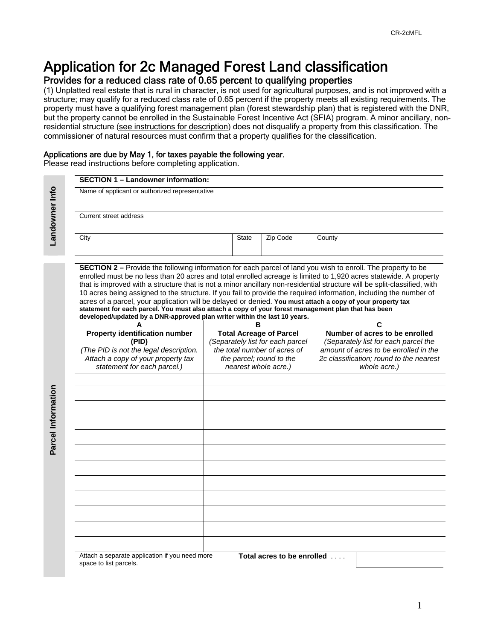# Application for 2c Managed Forest Land classification

### Provides for a reduced class rate of 0.65 percent to qualifying properties

(1) Unplatted real estate that is rural in character, is not used for agricultural purposes, and is not improved with a structure; may qualify for a reduced class rate of 0.65 percent if the property meets all existing requirements. The property must have a qualifying forest management plan (forest stewardship plan) that is registered with the DNR, but the property cannot be enrolled in the Sustainable Forest Incentive Act (SFIA) program. A minor ancillary, nonresidential structure (see instructions for description) does not disqualify a property from this classification. The commissioner of natural resources must confirm that a property qualifies for the classification.

#### Applications are due by May 1, for taxes payable the following year.

Please read instructions before completing application.

|  | <b>SECTION 1 - Landowner information:</b>                                                                                                                                                                                                                                                                                                                                                                                                                                                                                                                                                                                                                                                                                                                                                    |  |                          |                                  |                                         |  |  |  |  |
|--|----------------------------------------------------------------------------------------------------------------------------------------------------------------------------------------------------------------------------------------------------------------------------------------------------------------------------------------------------------------------------------------------------------------------------------------------------------------------------------------------------------------------------------------------------------------------------------------------------------------------------------------------------------------------------------------------------------------------------------------------------------------------------------------------|--|--------------------------|----------------------------------|-----------------------------------------|--|--|--|--|
|  | Name of applicant or authorized representative<br>Current street address                                                                                                                                                                                                                                                                                                                                                                                                                                                                                                                                                                                                                                                                                                                     |  |                          |                                  |                                         |  |  |  |  |
|  |                                                                                                                                                                                                                                                                                                                                                                                                                                                                                                                                                                                                                                                                                                                                                                                              |  |                          |                                  |                                         |  |  |  |  |
|  | City                                                                                                                                                                                                                                                                                                                                                                                                                                                                                                                                                                                                                                                                                                                                                                                         |  | <b>State</b>             | Zip Code                         | County                                  |  |  |  |  |
|  | <b>SECTION 2</b> – Provide the following information for each parcel of land you wish to enroll. The property to be<br>enrolled must be no less than 20 acres and total enrolled acreage is limited to 1,920 acres statewide. A property<br>that is improved with a structure that is not a minor ancillary non-residential structure will be split-classified, with<br>10 acres being assigned to the structure. If you fail to provide the required information, including the number of<br>acres of a parcel, your application will be delayed or denied. You must attach a copy of your property tax<br>statement for each parcel. You must also attach a copy of your forest management plan that has been<br>developed/updated by a DNR-approved plan writer within the last 10 years. |  |                          |                                  |                                         |  |  |  |  |
|  | <b>Property identification number</b>                                                                                                                                                                                                                                                                                                                                                                                                                                                                                                                                                                                                                                                                                                                                                        |  | в                        | <b>Total Acreage of Parcel</b>   | С<br>Number of acres to be enrolled     |  |  |  |  |
|  | (PID)                                                                                                                                                                                                                                                                                                                                                                                                                                                                                                                                                                                                                                                                                                                                                                                        |  |                          | (Separately list for each parcel | (Separately list for each parcel the    |  |  |  |  |
|  | (The PID is not the legal description.                                                                                                                                                                                                                                                                                                                                                                                                                                                                                                                                                                                                                                                                                                                                                       |  |                          | the total number of acres of     | amount of acres to be enrolled in the   |  |  |  |  |
|  | Attach a copy of your property tax                                                                                                                                                                                                                                                                                                                                                                                                                                                                                                                                                                                                                                                                                                                                                           |  | the parcel; round to the |                                  | 2c classification; round to the nearest |  |  |  |  |
|  | statement for each parcel.)                                                                                                                                                                                                                                                                                                                                                                                                                                                                                                                                                                                                                                                                                                                                                                  |  |                          | nearest whole acre.)             | whole acre.)                            |  |  |  |  |
|  |                                                                                                                                                                                                                                                                                                                                                                                                                                                                                                                                                                                                                                                                                                                                                                                              |  |                          |                                  |                                         |  |  |  |  |
|  |                                                                                                                                                                                                                                                                                                                                                                                                                                                                                                                                                                                                                                                                                                                                                                                              |  |                          |                                  |                                         |  |  |  |  |
|  |                                                                                                                                                                                                                                                                                                                                                                                                                                                                                                                                                                                                                                                                                                                                                                                              |  |                          |                                  |                                         |  |  |  |  |
|  |                                                                                                                                                                                                                                                                                                                                                                                                                                                                                                                                                                                                                                                                                                                                                                                              |  |                          |                                  |                                         |  |  |  |  |
|  |                                                                                                                                                                                                                                                                                                                                                                                                                                                                                                                                                                                                                                                                                                                                                                                              |  |                          |                                  |                                         |  |  |  |  |
|  |                                                                                                                                                                                                                                                                                                                                                                                                                                                                                                                                                                                                                                                                                                                                                                                              |  |                          |                                  |                                         |  |  |  |  |
|  |                                                                                                                                                                                                                                                                                                                                                                                                                                                                                                                                                                                                                                                                                                                                                                                              |  |                          |                                  |                                         |  |  |  |  |
|  |                                                                                                                                                                                                                                                                                                                                                                                                                                                                                                                                                                                                                                                                                                                                                                                              |  |                          |                                  |                                         |  |  |  |  |
|  |                                                                                                                                                                                                                                                                                                                                                                                                                                                                                                                                                                                                                                                                                                                                                                                              |  |                          |                                  |                                         |  |  |  |  |
|  |                                                                                                                                                                                                                                                                                                                                                                                                                                                                                                                                                                                                                                                                                                                                                                                              |  |                          |                                  |                                         |  |  |  |  |
|  |                                                                                                                                                                                                                                                                                                                                                                                                                                                                                                                                                                                                                                                                                                                                                                                              |  |                          |                                  |                                         |  |  |  |  |
|  |                                                                                                                                                                                                                                                                                                                                                                                                                                                                                                                                                                                                                                                                                                                                                                                              |  |                          |                                  |                                         |  |  |  |  |
|  | Attach a separate application if you need more                                                                                                                                                                                                                                                                                                                                                                                                                                                                                                                                                                                                                                                                                                                                               |  |                          | Total acres to be enrolled       |                                         |  |  |  |  |

1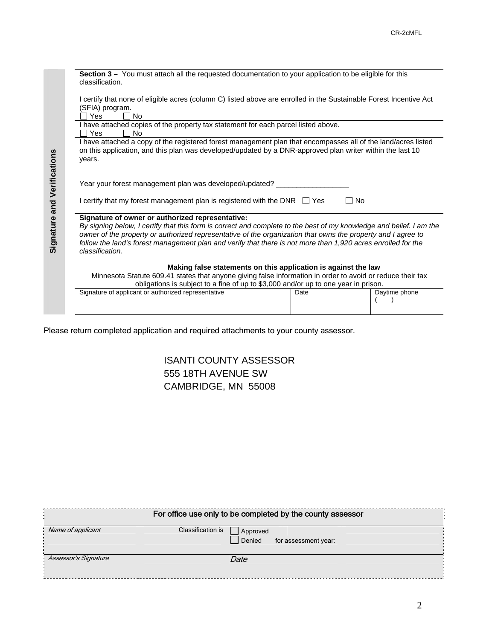| Section 3 – You must attach all the requested documentation to your application to be eligible for this<br>classification.                                                                                                                                                                                                                                                                                                 |      |               |  |  |  |  |  |  |
|----------------------------------------------------------------------------------------------------------------------------------------------------------------------------------------------------------------------------------------------------------------------------------------------------------------------------------------------------------------------------------------------------------------------------|------|---------------|--|--|--|--|--|--|
| I certify that none of eligible acres (column C) listed above are enrolled in the Sustainable Forest Incentive Act<br>(SFIA) program.                                                                                                                                                                                                                                                                                      |      |               |  |  |  |  |  |  |
| Yes<br><b>No</b>                                                                                                                                                                                                                                                                                                                                                                                                           |      |               |  |  |  |  |  |  |
| I have attached copies of the property tax statement for each parcel listed above.<br>No.<br>Yes                                                                                                                                                                                                                                                                                                                           |      |               |  |  |  |  |  |  |
| I have attached a copy of the registered forest management plan that encompasses all of the land/acres listed<br>on this application, and this plan was developed/updated by a DNR-approved plan writer within the last 10<br>years.                                                                                                                                                                                       |      |               |  |  |  |  |  |  |
| Year your forest management plan was developed/updated?                                                                                                                                                                                                                                                                                                                                                                    |      |               |  |  |  |  |  |  |
| I certify that my forest management plan is registered with the DNR $\Box$ Yes<br><b>No</b>                                                                                                                                                                                                                                                                                                                                |      |               |  |  |  |  |  |  |
| Signature of owner or authorized representative:<br>By signing below, I certify that this form is correct and complete to the best of my knowledge and belief. I am the<br>owner of the property or authorized representative of the organization that owns the property and I agree to<br>follow the land's forest management plan and verify that there is not more than 1,920 acres enrolled for the<br>classification. |      |               |  |  |  |  |  |  |
| Making false statements on this application is against the law                                                                                                                                                                                                                                                                                                                                                             |      |               |  |  |  |  |  |  |
| Minnesota Statute 609.41 states that anyone giving false information in order to avoid or reduce their tax                                                                                                                                                                                                                                                                                                                 |      |               |  |  |  |  |  |  |
| obligations is subject to a fine of up to \$3,000 and/or up to one year in prison.                                                                                                                                                                                                                                                                                                                                         |      |               |  |  |  |  |  |  |
| Signature of applicant or authorized representative                                                                                                                                                                                                                                                                                                                                                                        | Date | Daytime phone |  |  |  |  |  |  |

Please return completed application and required attachments to your county assessor.

### ISANTI COUNTY ASSESSOR 555 18TH AVENUE SW CAMBRIDGE, MN 55008

| For office use only to be completed by the county assessor |                                                                 |  |  |  |  |  |  |  |  |
|------------------------------------------------------------|-----------------------------------------------------------------|--|--|--|--|--|--|--|--|
| Name of applicant                                          | Classification is<br>Approved<br>Denied<br>for assessment year: |  |  |  |  |  |  |  |  |
| Assessor's Signature                                       | Date                                                            |  |  |  |  |  |  |  |  |